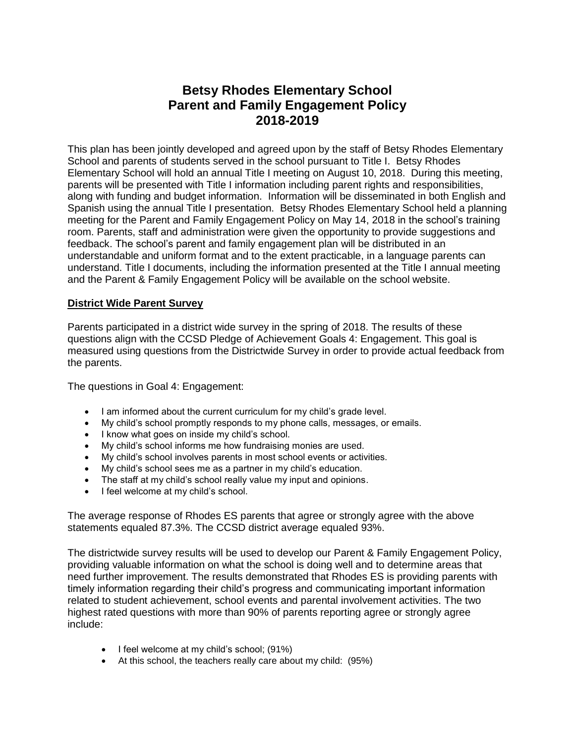# **Betsy Rhodes Elementary School Parent and Family Engagement Policy 2018-2019**

This plan has been jointly developed and agreed upon by the staff of Betsy Rhodes Elementary School and parents of students served in the school pursuant to Title I. Betsy Rhodes Elementary School will hold an annual Title I meeting on August 10, 2018. During this meeting, parents will be presented with Title I information including parent rights and responsibilities, along with funding and budget information. Information will be disseminated in both English and Spanish using the annual Title I presentation. Betsy Rhodes Elementary School held a planning meeting for the Parent and Family Engagement Policy on May 14, 2018 in the school's training room. Parents, staff and administration were given the opportunity to provide suggestions and feedback. The school's parent and family engagement plan will be distributed in an understandable and uniform format and to the extent practicable, in a language parents can understand. Title I documents, including the information presented at the Title I annual meeting and the Parent & Family Engagement Policy will be available on the school website.

## **District Wide Parent Survey**

Parents participated in a district wide survey in the spring of 2018. The results of these questions align with the CCSD Pledge of Achievement Goals 4: Engagement. This goal is measured using questions from the Districtwide Survey in order to provide actual feedback from the parents.

The questions in Goal 4: Engagement:

- I am informed about the current curriculum for my child's grade level.
- My child's school promptly responds to my phone calls, messages, or emails.
- I know what goes on inside my child's school.
- My child's school informs me how fundraising monies are used.
- My child's school involves parents in most school events or activities.
- My child's school sees me as a partner in my child's education.
- The staff at my child's school really value my input and opinions.
- I feel welcome at my child's school.

The average response of Rhodes ES parents that agree or strongly agree with the above statements equaled 87.3%. The CCSD district average equaled 93%.

The districtwide survey results will be used to develop our Parent & Family Engagement Policy, providing valuable information on what the school is doing well and to determine areas that need further improvement. The results demonstrated that Rhodes ES is providing parents with timely information regarding their child's progress and communicating important information related to student achievement, school events and parental involvement activities. The two highest rated questions with more than 90% of parents reporting agree or strongly agree include:

- $\bullet$  I feel welcome at my child's school; (91%)
- At this school, the teachers really care about my child: (95%)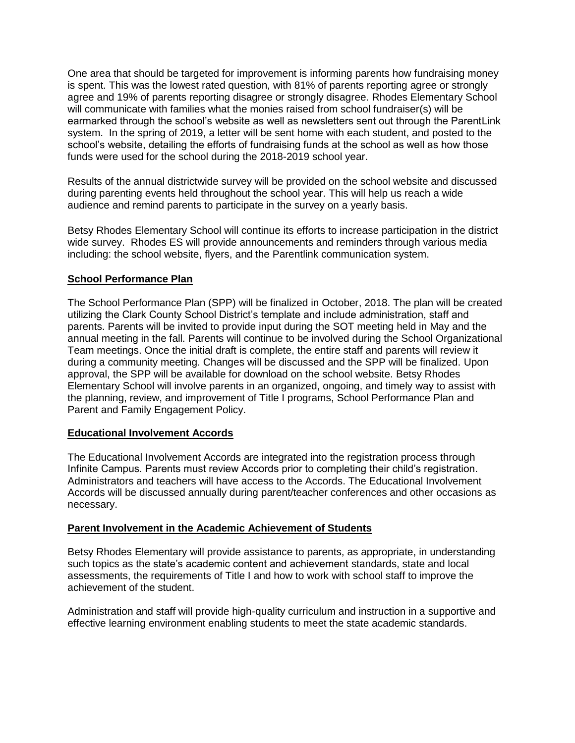One area that should be targeted for improvement is informing parents how fundraising money is spent. This was the lowest rated question, with 81% of parents reporting agree or strongly agree and 19% of parents reporting disagree or strongly disagree. Rhodes Elementary School will communicate with families what the monies raised from school fundraiser(s) will be earmarked through the school's website as well as newsletters sent out through the ParentLink system. In the spring of 2019, a letter will be sent home with each student, and posted to the school's website, detailing the efforts of fundraising funds at the school as well as how those funds were used for the school during the 2018-2019 school year.

Results of the annual districtwide survey will be provided on the school website and discussed during parenting events held throughout the school year. This will help us reach a wide audience and remind parents to participate in the survey on a yearly basis.

Betsy Rhodes Elementary School will continue its efforts to increase participation in the district wide survey. Rhodes ES will provide announcements and reminders through various media including: the school website, flyers, and the Parentlink communication system.

## **School Performance Plan**

The School Performance Plan (SPP) will be finalized in October, 2018. The plan will be created utilizing the Clark County School District's template and include administration, staff and parents. Parents will be invited to provide input during the SOT meeting held in May and the annual meeting in the fall. Parents will continue to be involved during the School Organizational Team meetings. Once the initial draft is complete, the entire staff and parents will review it during a community meeting. Changes will be discussed and the SPP will be finalized. Upon approval, the SPP will be available for download on the school website. Betsy Rhodes Elementary School will involve parents in an organized, ongoing, and timely way to assist with the planning, review, and improvement of Title I programs, School Performance Plan and Parent and Family Engagement Policy.

### **Educational Involvement Accords**

The Educational Involvement Accords are integrated into the registration process through Infinite Campus. Parents must review Accords prior to completing their child's registration. Administrators and teachers will have access to the Accords. The Educational Involvement Accords will be discussed annually during parent/teacher conferences and other occasions as necessary.

### **Parent Involvement in the Academic Achievement of Students**

Betsy Rhodes Elementary will provide assistance to parents, as appropriate, in understanding such topics as the state's academic content and achievement standards, state and local assessments, the requirements of Title I and how to work with school staff to improve the achievement of the student.

Administration and staff will provide high-quality curriculum and instruction in a supportive and effective learning environment enabling students to meet the state academic standards.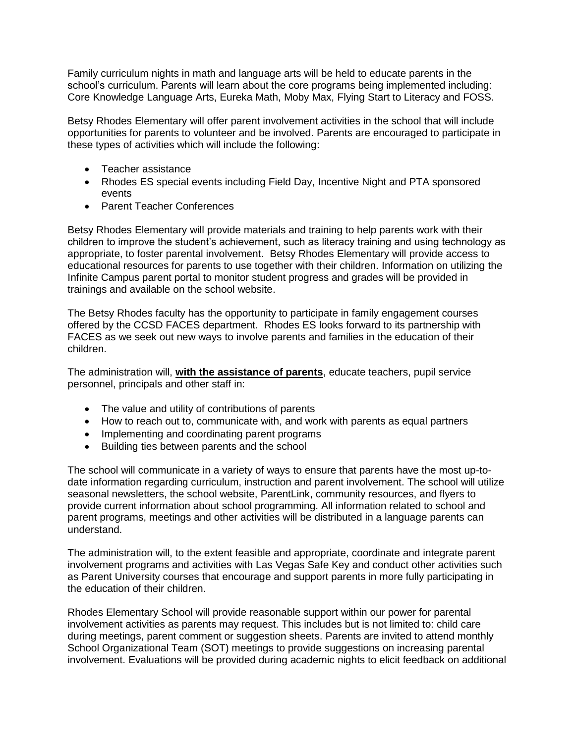Family curriculum nights in math and language arts will be held to educate parents in the school's curriculum. Parents will learn about the core programs being implemented including: Core Knowledge Language Arts, Eureka Math, Moby Max, Flying Start to Literacy and FOSS.

Betsy Rhodes Elementary will offer parent involvement activities in the school that will include opportunities for parents to volunteer and be involved. Parents are encouraged to participate in these types of activities which will include the following:

- Teacher assistance
- Rhodes ES special events including Field Day, Incentive Night and PTA sponsored events
- Parent Teacher Conferences

Betsy Rhodes Elementary will provide materials and training to help parents work with their children to improve the student's achievement, such as literacy training and using technology as appropriate, to foster parental involvement. Betsy Rhodes Elementary will provide access to educational resources for parents to use together with their children. Information on utilizing the Infinite Campus parent portal to monitor student progress and grades will be provided in trainings and available on the school website.

The Betsy Rhodes faculty has the opportunity to participate in family engagement courses offered by the CCSD FACES department. Rhodes ES looks forward to its partnership with FACES as we seek out new ways to involve parents and families in the education of their children.

The administration will, **with the assistance of parents**, educate teachers, pupil service personnel, principals and other staff in:

- The value and utility of contributions of parents
- How to reach out to, communicate with, and work with parents as equal partners
- Implementing and coordinating parent programs
- Building ties between parents and the school

The school will communicate in a variety of ways to ensure that parents have the most up-todate information regarding curriculum, instruction and parent involvement. The school will utilize seasonal newsletters, the school website, ParentLink, community resources, and flyers to provide current information about school programming. All information related to school and parent programs, meetings and other activities will be distributed in a language parents can understand.

The administration will, to the extent feasible and appropriate, coordinate and integrate parent involvement programs and activities with Las Vegas Safe Key and conduct other activities such as Parent University courses that encourage and support parents in more fully participating in the education of their children.

Rhodes Elementary School will provide reasonable support within our power for parental involvement activities as parents may request. This includes but is not limited to: child care during meetings, parent comment or suggestion sheets. Parents are invited to attend monthly School Organizational Team (SOT) meetings to provide suggestions on increasing parental involvement. Evaluations will be provided during academic nights to elicit feedback on additional